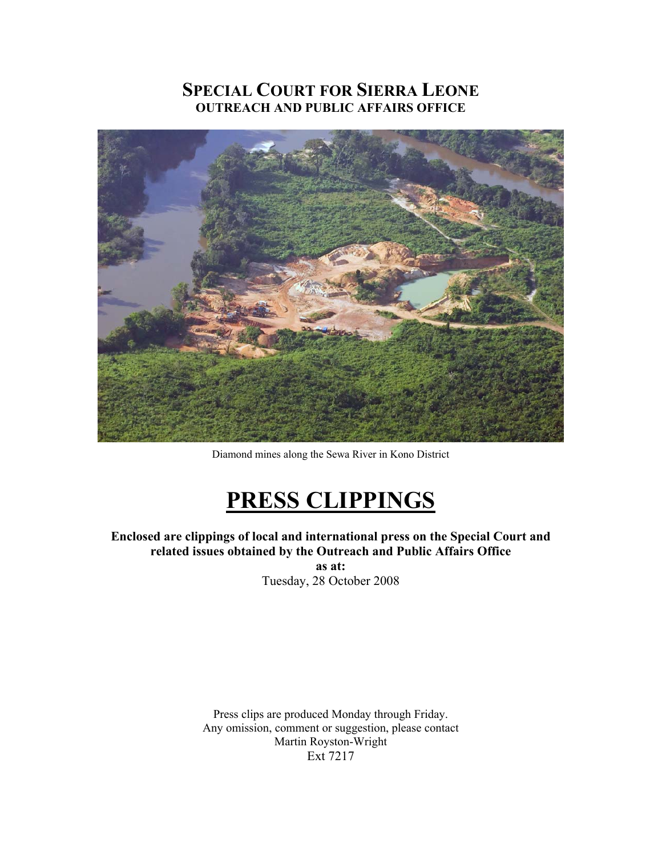## **SPECIAL COURT FOR SIERRA LEONE OUTREACH AND PUBLIC AFFAIRS OFFICE**



Diamond mines along the Sewa River in Kono District

# **PRESS CLIPPINGS**

**Enclosed are clippings of local and international press on the Special Court and related issues obtained by the Outreach and Public Affairs Office** 

**as at:**  Tuesday, 28 October 2008

Press clips are produced Monday through Friday. Any omission, comment or suggestion, please contact Martin Royston-Wright Ext 7217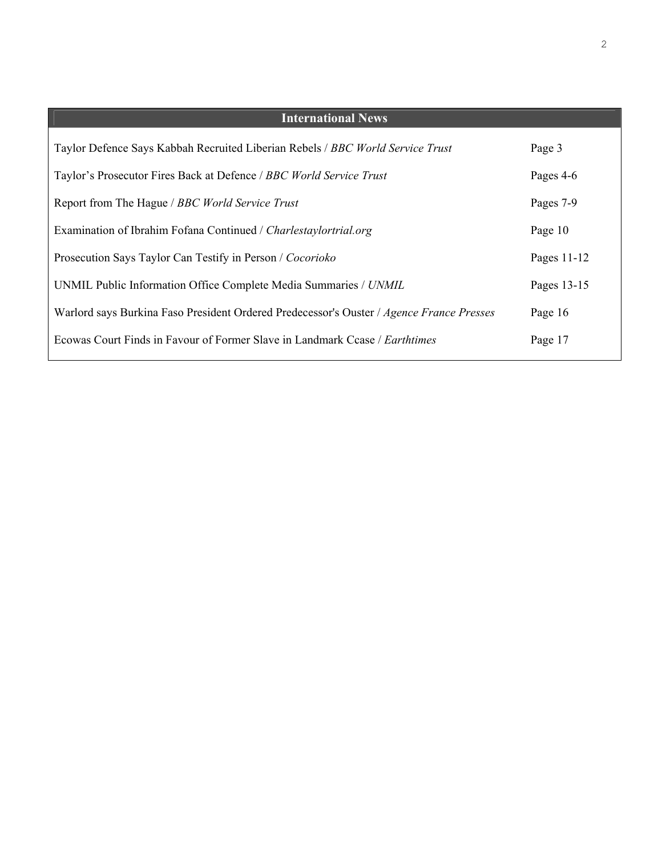| <b>International News</b>                                                                |             |
|------------------------------------------------------------------------------------------|-------------|
| Taylor Defence Says Kabbah Recruited Liberian Rebels / BBC World Service Trust           | Page 3      |
| Taylor's Prosecutor Fires Back at Defence / BBC World Service Trust                      | Pages 4-6   |
| Report from The Hague / BBC World Service Trust                                          | Pages 7-9   |
| Examination of Ibrahim Fofana Continued / Charlestaylortrial.org                         | Page 10     |
| Prosecution Says Taylor Can Testify in Person / Cocorioko                                | Pages 11-12 |
| UNMIL Public Information Office Complete Media Summaries / UNMIL                         | Pages 13-15 |
| Warlord says Burkina Faso President Ordered Predecessor's Ouster / Agence France Presses | Page 16     |
| Ecowas Court Finds in Favour of Former Slave in Landmark Ccase / <i>Earthtimes</i>       | Page 17     |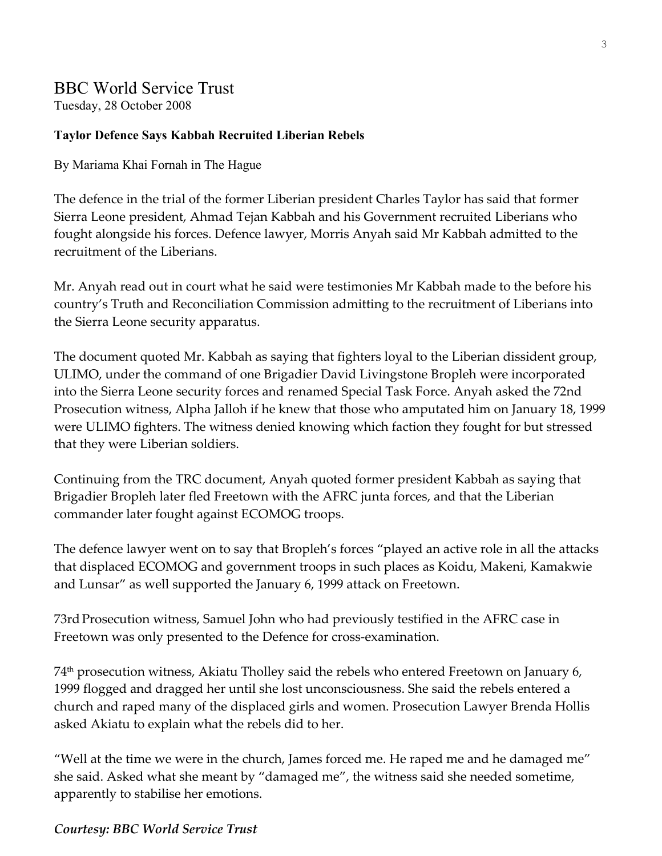## BBC World Service Trust

Tuesday, 28 October 2008

## **Taylor Defence Says Kabbah Recruited Liberian Rebels**

By Mariama Khai Fornah in The Hague

The defence in the trial of the former Liberian president Charles Taylor has said that former Sierra Leone president, Ahmad Tejan Kabbah and his Government recruited Liberians who fought alongside his forces. Defence lawyer, Morris Anyah said Mr Kabbah admitted to the recruitment of the Liberians.

Mr. Anyah read out in court what he said were testimonies Mr Kabbah made to the before his country's Truth and Reconciliation Commission admitting to the recruitment of Liberians into the Sierra Leone security apparatus.

The document quoted Mr. Kabbah as saying that fighters loyal to the Liberian dissident group, ULIMO, under the command of one Brigadier David Livingstone Bropleh were incorporated into the Sierra Leone security forces and renamed Special Task Force. Anyah asked the 72nd Prosecution witness, Alpha Jalloh if he knew that those who amputated him on January 18, 1999 were ULIMO fighters. The witness denied knowing which faction they fought for but stressed that they were Liberian soldiers.

Continuing from the TRC document, Anyah quoted former president Kabbah as saying that Brigadier Bropleh later fled Freetown with the AFRC junta forces, and that the Liberian commander later fought against ECOMOG troops.

The defence lawyer went on to say that Bropleh's forces "played an active role in all the attacks that displaced ECOMOG and government troops in such places as Koidu, Makeni, Kamakwie and Lunsar" as well supported the January 6, 1999 attack on Freetown.

73rdProsecution witness, Samuel John who had previously testified in the AFRC case in Freetown was only presented to the Defence for cross-examination.

74th prosecution witness, Akiatu Tholley said the rebels who entered Freetown on January 6, 1999 flogged and dragged her until she lost unconsciousness. She said the rebels entered a church and raped many of the displaced girls and women. Prosecution Lawyer Brenda Hollis asked Akiatu to explain what the rebels did to her.

"Well at the time we were in the church, James forced me. He raped me and he damaged me" she said. Asked what she meant by "damaged me", the witness said she needed sometime, apparently to stabilise her emotions.

## *Courtesy: BBC World Service Trust*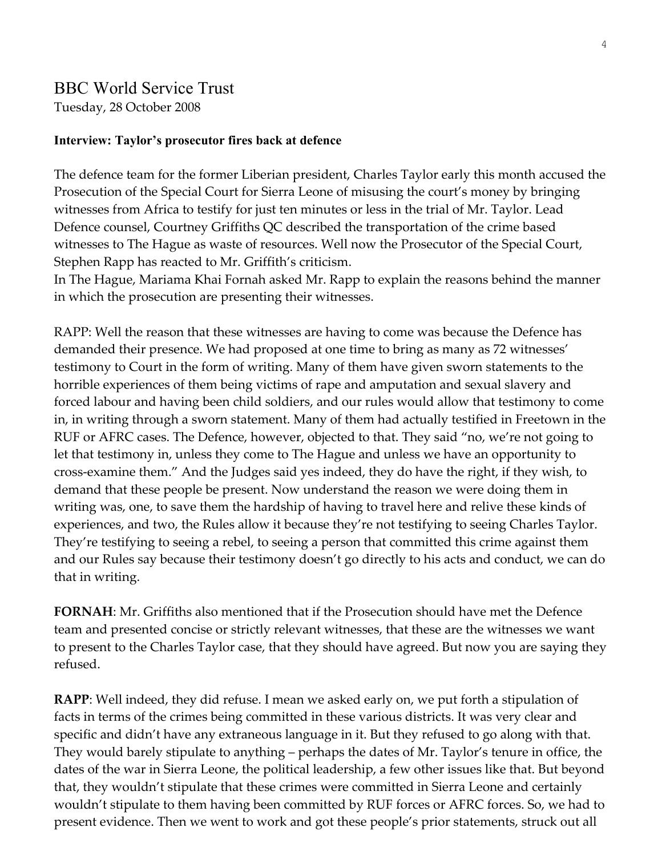## BBC World Service Trust

Tuesday, 28 October 2008

### **Interview: Taylor's prosecutor fires back at defence**

The defence team for the former Liberian president, Charles Taylor early this month accused the Prosecution of the Special Court for Sierra Leone of misusing the court's money by bringing witnesses from Africa to testify for just ten minutes or less in the trial of Mr. Taylor. Lead Defence counsel, Courtney Griffiths QC described the transportation of the crime based witnesses to The Hague as waste of resources. Well now the Prosecutor of the Special Court, Stephen Rapp has reacted to Mr. Griffith's criticism.

In The Hague, Mariama Khai Fornah asked Mr. Rapp to explain the reasons behind the manner in which the prosecution are presenting their witnesses.

RAPP: Well the reason that these witnesses are having to come was because the Defence has demanded their presence. We had proposed at one time to bring as many as 72 witnesses' testimony to Court in the form of writing. Many of them have given sworn statements to the horrible experiences of them being victims of rape and amputation and sexual slavery and forced labour and having been child soldiers, and our rules would allow that testimony to come in, in writing through a sworn statement. Many of them had actually testified in Freetown in the RUF or AFRC cases. The Defence, however, objected to that. They said "no, we're not going to let that testimony in, unless they come to The Hague and unless we have an opportunity to cross-examine them." And the Judges said yes indeed, they do have the right, if they wish, to demand that these people be present. Now understand the reason we were doing them in writing was, one, to save them the hardship of having to travel here and relive these kinds of experiences, and two, the Rules allow it because they're not testifying to seeing Charles Taylor. They're testifying to seeing a rebel, to seeing a person that committed this crime against them and our Rules say because their testimony doesn't go directly to his acts and conduct, we can do that in writing.

**FORNAH**: Mr. Griffiths also mentioned that if the Prosecution should have met the Defence team and presented concise or strictly relevant witnesses, that these are the witnesses we want to present to the Charles Taylor case, that they should have agreed. But now you are saying they refused.

**RAPP**: Well indeed, they did refuse. I mean we asked early on, we put forth a stipulation of facts in terms of the crimes being committed in these various districts. It was very clear and specific and didn't have any extraneous language in it. But they refused to go along with that. They would barely stipulate to anything – perhaps the dates of Mr. Taylor's tenure in office, the dates of the war in Sierra Leone, the political leadership, a few other issues like that. But beyond that, they wouldn't stipulate that these crimes were committed in Sierra Leone and certainly wouldn't stipulate to them having been committed by RUF forces or AFRC forces. So, we had to present evidence. Then we went to work and got these people's prior statements, struck out all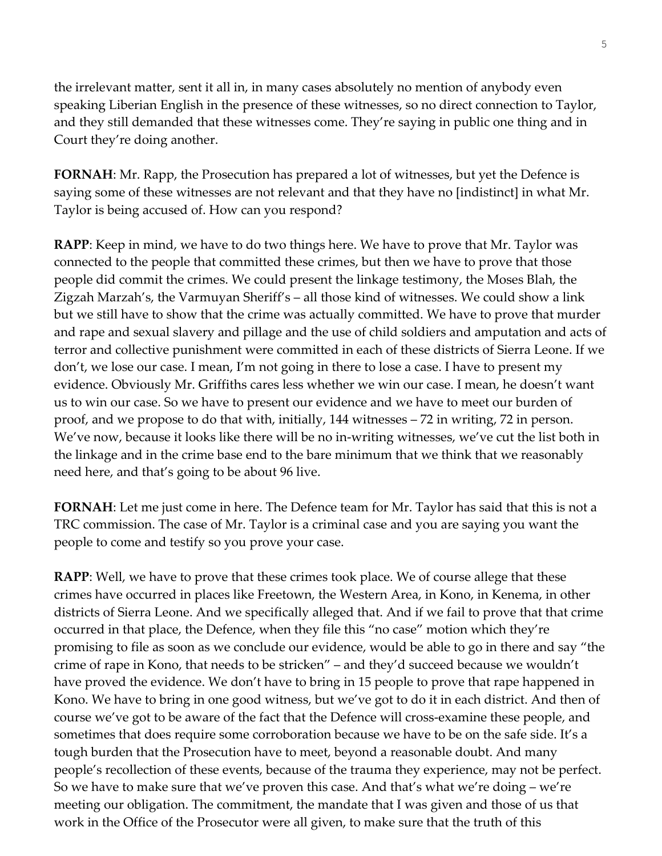the irrelevant matter, sent it all in, in many cases absolutely no mention of anybody even speaking Liberian English in the presence of these witnesses, so no direct connection to Taylor, and they still demanded that these witnesses come. They're saying in public one thing and in Court they're doing another.

**FORNAH**: Mr. Rapp, the Prosecution has prepared a lot of witnesses, but yet the Defence is saying some of these witnesses are not relevant and that they have no [indistinct] in what Mr. Taylor is being accused of. How can you respond?

**RAPP**: Keep in mind, we have to do two things here. We have to prove that Mr. Taylor was connected to the people that committed these crimes, but then we have to prove that those people did commit the crimes. We could present the linkage testimony, the Moses Blah, the Zigzah Marzah's, the Varmuyan Sheriff's – all those kind of witnesses. We could show a link but we still have to show that the crime was actually committed. We have to prove that murder and rape and sexual slavery and pillage and the use of child soldiers and amputation and acts of terror and collective punishment were committed in each of these districts of Sierra Leone. If we don't, we lose our case. I mean, I'm not going in there to lose a case. I have to present my evidence. Obviously Mr. Griffiths cares less whether we win our case. I mean, he doesn't want us to win our case. So we have to present our evidence and we have to meet our burden of proof, and we propose to do that with, initially, 144 witnesses – 72 in writing, 72 in person. We've now, because it looks like there will be no in-writing witnesses, we've cut the list both in the linkage and in the crime base end to the bare minimum that we think that we reasonably need here, and that's going to be about 96 live.

**FORNAH**: Let me just come in here. The Defence team for Mr. Taylor has said that this is not a TRC commission. The case of Mr. Taylor is a criminal case and you are saying you want the people to come and testify so you prove your case.

**RAPP**: Well, we have to prove that these crimes took place. We of course allege that these crimes have occurred in places like Freetown, the Western Area, in Kono, in Kenema, in other districts of Sierra Leone. And we specifically alleged that. And if we fail to prove that that crime occurred in that place, the Defence, when they file this "no case" motion which they're promising to file as soon as we conclude our evidence, would be able to go in there and say "the crime of rape in Kono, that needs to be stricken" – and they'd succeed because we wouldn't have proved the evidence. We don't have to bring in 15 people to prove that rape happened in Kono. We have to bring in one good witness, but we've got to do it in each district. And then of course we've got to be aware of the fact that the Defence will cross-examine these people, and sometimes that does require some corroboration because we have to be on the safe side. It's a tough burden that the Prosecution have to meet, beyond a reasonable doubt. And many people's recollection of these events, because of the trauma they experience, may not be perfect. So we have to make sure that we've proven this case. And that's what we're doing – we're meeting our obligation. The commitment, the mandate that I was given and those of us that work in the Office of the Prosecutor were all given, to make sure that the truth of this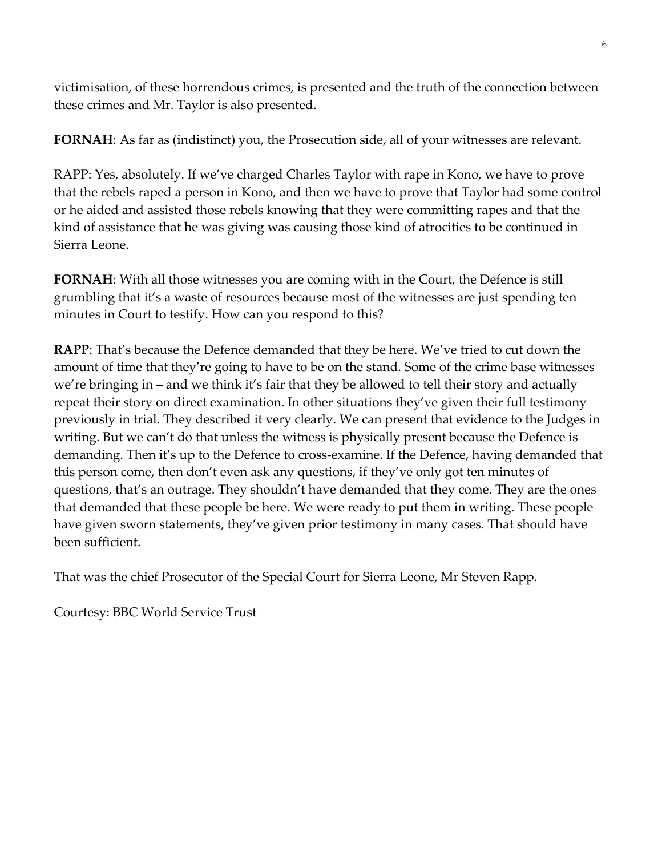victimisation, of these horrendous crimes, is presented and the truth of the connection between these crimes and Mr. Taylor is also presented.

**FORNAH**: As far as (indistinct) you, the Prosecution side, all of your witnesses are relevant.

RAPP: Yes, absolutely. If we've charged Charles Taylor with rape in Kono, we have to prove that the rebels raped a person in Kono, and then we have to prove that Taylor had some control or he aided and assisted those rebels knowing that they were committing rapes and that the kind of assistance that he was giving was causing those kind of atrocities to be continued in Sierra Leone.

**FORNAH**: With all those witnesses you are coming with in the Court, the Defence is still grumbling that it's a waste of resources because most of the witnesses are just spending ten minutes in Court to testify. How can you respond to this?

**RAPP**: That's because the Defence demanded that they be here. We've tried to cut down the amount of time that they're going to have to be on the stand. Some of the crime base witnesses we're bringing in – and we think it's fair that they be allowed to tell their story and actually repeat their story on direct examination. In other situations they've given their full testimony previously in trial. They described it very clearly. We can present that evidence to the Judges in writing. But we can't do that unless the witness is physically present because the Defence is demanding. Then it's up to the Defence to cross-examine. If the Defence, having demanded that this person come, then don't even ask any questions, if they've only got ten minutes of questions, that's an outrage. They shouldn't have demanded that they come. They are the ones that demanded that these people be here. We were ready to put them in writing. These people have given sworn statements, they've given prior testimony in many cases. That should have been sufficient.

That was the chief Prosecutor of the Special Court for Sierra Leone, Mr Steven Rapp.

Courtesy: BBC World Service Trust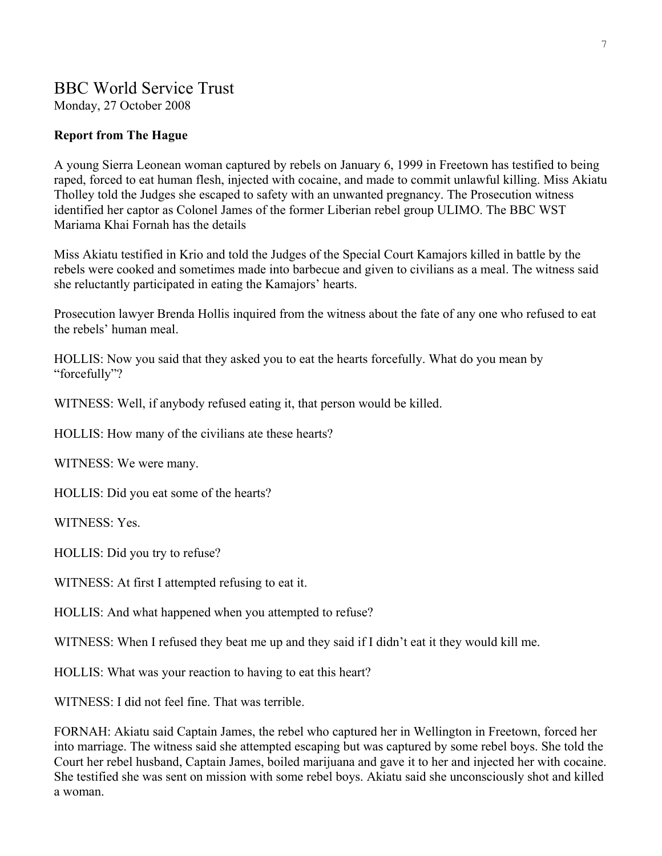## BBC World Service Trust

Monday, 27 October 2008

## **Report from The Hague**

A young Sierra Leonean woman captured by rebels on January 6, 1999 in Freetown has testified to being raped, forced to eat human flesh, injected with cocaine, and made to commit unlawful killing. Miss Akiatu Tholley told the Judges she escaped to safety with an unwanted pregnancy. The Prosecution witness identified her captor as Colonel James of the former Liberian rebel group ULIMO. The BBC WST Mariama Khai Fornah has the details

Miss Akiatu testified in Krio and told the Judges of the Special Court Kamajors killed in battle by the rebels were cooked and sometimes made into barbecue and given to civilians as a meal. The witness said she reluctantly participated in eating the Kamajors' hearts.

Prosecution lawyer Brenda Hollis inquired from the witness about the fate of any one who refused to eat the rebels' human meal.

HOLLIS: Now you said that they asked you to eat the hearts forcefully. What do you mean by "forcefully"?

WITNESS: Well, if anybody refused eating it, that person would be killed.

HOLLIS: How many of the civilians ate these hearts?

WITNESS: We were many.

HOLLIS: Did you eat some of the hearts?

WITNESS: Yes.

HOLLIS: Did you try to refuse?

WITNESS: At first I attempted refusing to eat it.

HOLLIS: And what happened when you attempted to refuse?

WITNESS: When I refused they beat me up and they said if I didn't eat it they would kill me.

HOLLIS: What was your reaction to having to eat this heart?

WITNESS: I did not feel fine. That was terrible.

FORNAH: Akiatu said Captain James, the rebel who captured her in Wellington in Freetown, forced her into marriage. The witness said she attempted escaping but was captured by some rebel boys. She told the Court her rebel husband, Captain James, boiled marijuana and gave it to her and injected her with cocaine. She testified she was sent on mission with some rebel boys. Akiatu said she unconsciously shot and killed a woman.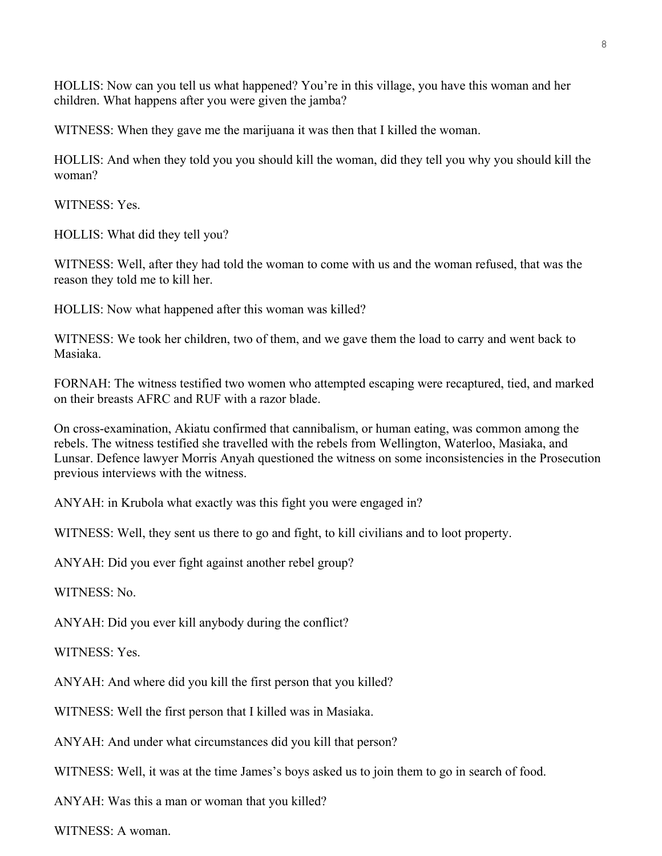HOLLIS: Now can you tell us what happened? You're in this village, you have this woman and her children. What happens after you were given the jamba?

WITNESS: When they gave me the marijuana it was then that I killed the woman.

HOLLIS: And when they told you you should kill the woman, did they tell you why you should kill the woman?

WITNESS: Yes.

HOLLIS: What did they tell you?

WITNESS: Well, after they had told the woman to come with us and the woman refused, that was the reason they told me to kill her.

HOLLIS: Now what happened after this woman was killed?

WITNESS: We took her children, two of them, and we gave them the load to carry and went back to Masiaka.

FORNAH: The witness testified two women who attempted escaping were recaptured, tied, and marked on their breasts AFRC and RUF with a razor blade.

On cross-examination, Akiatu confirmed that cannibalism, or human eating, was common among the rebels. The witness testified she travelled with the rebels from Wellington, Waterloo, Masiaka, and Lunsar. Defence lawyer Morris Anyah questioned the witness on some inconsistencies in the Prosecution previous interviews with the witness.

ANYAH: in Krubola what exactly was this fight you were engaged in?

WITNESS: Well, they sent us there to go and fight, to kill civilians and to loot property.

ANYAH: Did you ever fight against another rebel group?

WITNESS: No.

ANYAH: Did you ever kill anybody during the conflict?

WITNESS: Yes.

ANYAH: And where did you kill the first person that you killed?

WITNESS: Well the first person that I killed was in Masiaka.

ANYAH: And under what circumstances did you kill that person?

WITNESS: Well, it was at the time James's boys asked us to join them to go in search of food.

ANYAH: Was this a man or woman that you killed?

WITNESS: A woman.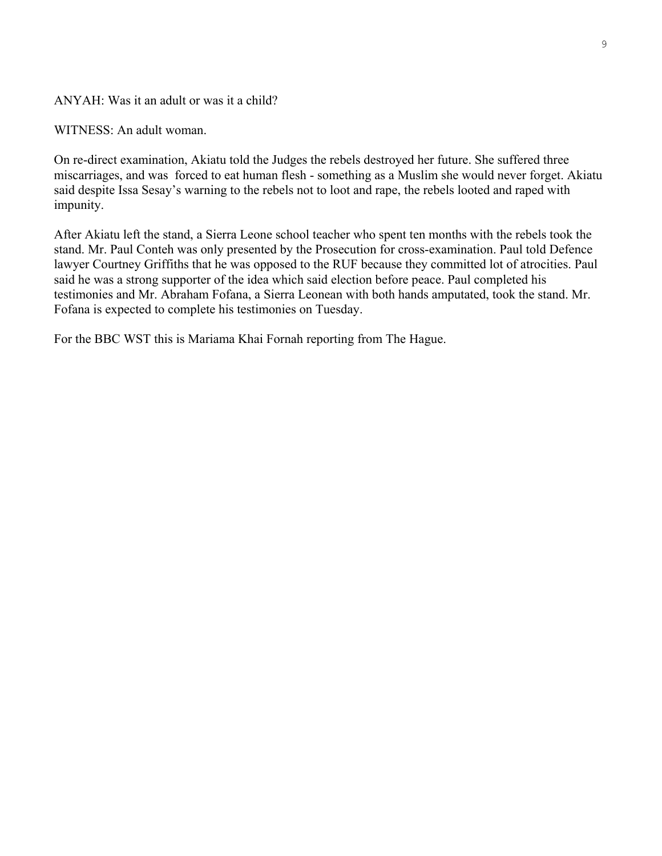#### ANYAH: Was it an adult or was it a child?

WITNESS: An adult woman.

On re-direct examination, Akiatu told the Judges the rebels destroyed her future. She suffered three miscarriages, and was forced to eat human flesh - something as a Muslim she would never forget. Akiatu said despite Issa Sesay's warning to the rebels not to loot and rape, the rebels looted and raped with impunity.

After Akiatu left the stand, a Sierra Leone school teacher who spent ten months with the rebels took the stand. Mr. Paul Conteh was only presented by the Prosecution for cross-examination. Paul told Defence lawyer Courtney Griffiths that he was opposed to the RUF because they committed lot of atrocities. Paul said he was a strong supporter of the idea which said election before peace. Paul completed his testimonies and Mr. Abraham Fofana, a Sierra Leonean with both hands amputated, took the stand. Mr. Fofana is expected to complete his testimonies on Tuesday.

For the BBC WST this is Mariama Khai Fornah reporting from The Hague.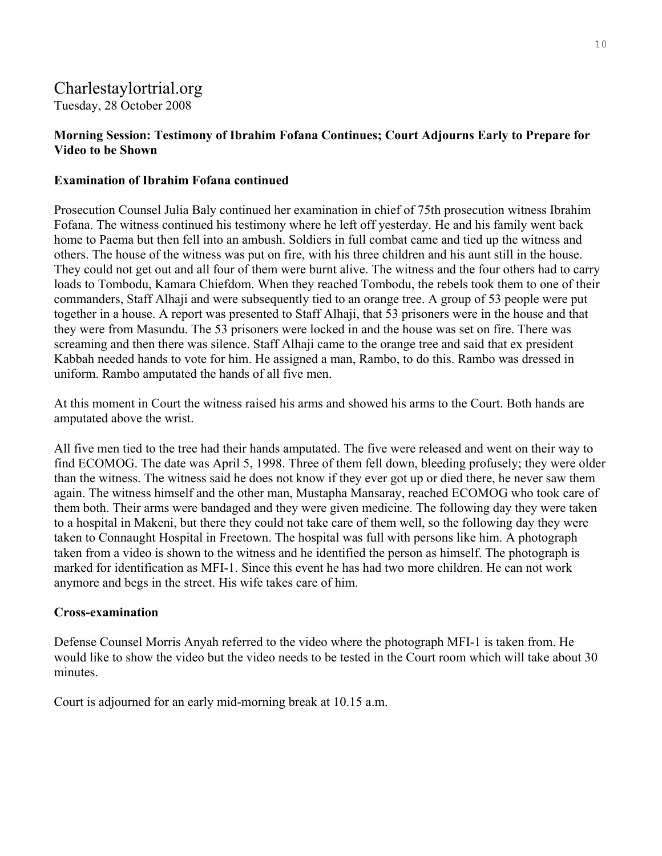## Charlestaylortrial.org

Tuesday, 28 October 2008

## **Morning Session: Testimony of Ibrahim Fofana Continues; Court Adjourns Early to Prepare for Video to be Shown**

## **Examination of Ibrahim Fofana continued**

Prosecution Counsel Julia Baly continued her examination in chief of 75th prosecution witness Ibrahim Fofana. The witness continued his testimony where he left off yesterday. He and his family went back home to Paema but then fell into an ambush. Soldiers in full combat came and tied up the witness and others. The house of the witness was put on fire, with his three children and his aunt still in the house. They could not get out and all four of them were burnt alive. The witness and the four others had to carry loads to Tombodu, Kamara Chiefdom. When they reached Tombodu, the rebels took them to one of their commanders, Staff Alhaji and were subsequently tied to an orange tree. A group of 53 people were put together in a house. A report was presented to Staff Alhaji, that 53 prisoners were in the house and that they were from Masundu. The 53 prisoners were locked in and the house was set on fire. There was screaming and then there was silence. Staff Alhaji came to the orange tree and said that ex president Kabbah needed hands to vote for him. He assigned a man, Rambo, to do this. Rambo was dressed in uniform. Rambo amputated the hands of all five men.

At this moment in Court the witness raised his arms and showed his arms to the Court. Both hands are amputated above the wrist.

All five men tied to the tree had their hands amputated. The five were released and went on their way to find ECOMOG. The date was April 5, 1998. Three of them fell down, bleeding profusely; they were older than the witness. The witness said he does not know if they ever got up or died there, he never saw them again. The witness himself and the other man, Mustapha Mansaray, reached ECOMOG who took care of them both. Their arms were bandaged and they were given medicine. The following day they were taken to a hospital in Makeni, but there they could not take care of them well, so the following day they were taken to Connaught Hospital in Freetown. The hospital was full with persons like him. A photograph taken from a video is shown to the witness and he identified the person as himself. The photograph is marked for identification as MFI-1. Since this event he has had two more children. He can not work anymore and begs in the street. His wife takes care of him.

## **Cross-examination**

Defense Counsel Morris Anyah referred to the video where the photograph MFI-1 is taken from. He would like to show the video but the video needs to be tested in the Court room which will take about 30 minutes.

Court is adjourned for an early mid-morning break at 10.15 a.m.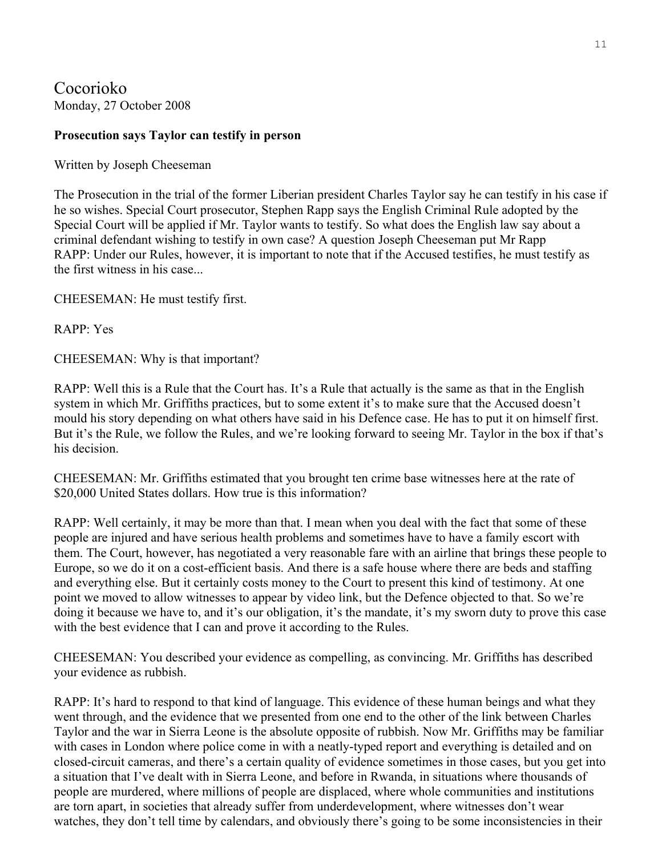Cocorioko Monday, 27 October 2008

## **Prosecution says Taylor can testify in person**

Written by Joseph Cheeseman

The Prosecution in the trial of the former Liberian president Charles Taylor say he can testify in his case if he so wishes. Special Court prosecutor, Stephen Rapp says the English Criminal Rule adopted by the Special Court will be applied if Mr. Taylor wants to testify. So what does the English law say about a criminal defendant wishing to testify in own case? A question Joseph Cheeseman put Mr Rapp RAPP: Under our Rules, however, it is important to note that if the Accused testifies, he must testify as the first witness in his case...

CHEESEMAN: He must testify first.

RAPP: Yes

CHEESEMAN: Why is that important?

RAPP: Well this is a Rule that the Court has. It's a Rule that actually is the same as that in the English system in which Mr. Griffiths practices, but to some extent it's to make sure that the Accused doesn't mould his story depending on what others have said in his Defence case. He has to put it on himself first. But it's the Rule, we follow the Rules, and we're looking forward to seeing Mr. Taylor in the box if that's his decision.

CHEESEMAN: Mr. Griffiths estimated that you brought ten crime base witnesses here at the rate of \$20,000 United States dollars. How true is this information?

RAPP: Well certainly, it may be more than that. I mean when you deal with the fact that some of these people are injured and have serious health problems and sometimes have to have a family escort with them. The Court, however, has negotiated a very reasonable fare with an airline that brings these people to Europe, so we do it on a cost-efficient basis. And there is a safe house where there are beds and staffing and everything else. But it certainly costs money to the Court to present this kind of testimony. At one point we moved to allow witnesses to appear by video link, but the Defence objected to that. So we're doing it because we have to, and it's our obligation, it's the mandate, it's my sworn duty to prove this case with the best evidence that I can and prove it according to the Rules.

CHEESEMAN: You described your evidence as compelling, as convincing. Mr. Griffiths has described your evidence as rubbish.

RAPP: It's hard to respond to that kind of language. This evidence of these human beings and what they went through, and the evidence that we presented from one end to the other of the link between Charles Taylor and the war in Sierra Leone is the absolute opposite of rubbish. Now Mr. Griffiths may be familiar with cases in London where police come in with a neatly-typed report and everything is detailed and on closed-circuit cameras, and there's a certain quality of evidence sometimes in those cases, but you get into a situation that I've dealt with in Sierra Leone, and before in Rwanda, in situations where thousands of people are murdered, where millions of people are displaced, where whole communities and institutions are torn apart, in societies that already suffer from underdevelopment, where witnesses don't wear watches, they don't tell time by calendars, and obviously there's going to be some inconsistencies in their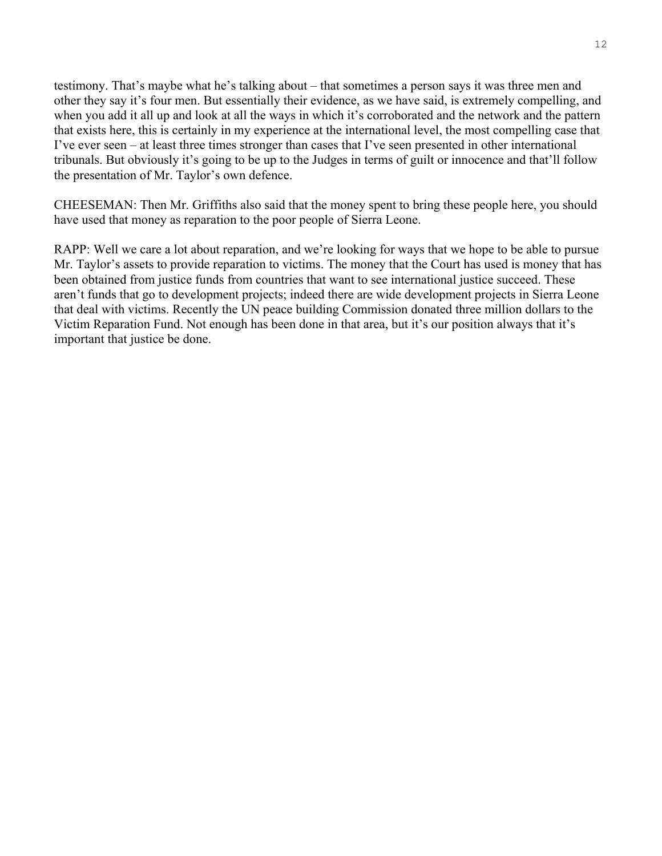testimony. That's maybe what he's talking about – that sometimes a person says it was three men and other they say it's four men. But essentially their evidence, as we have said, is extremely compelling, and when you add it all up and look at all the ways in which it's corroborated and the network and the pattern that exists here, this is certainly in my experience at the international level, the most compelling case that I've ever seen – at least three times stronger than cases that I've seen presented in other international tribunals. But obviously it's going to be up to the Judges in terms of guilt or innocence and that'll follow the presentation of Mr. Taylor's own defence.

CHEESEMAN: Then Mr. Griffiths also said that the money spent to bring these people here, you should have used that money as reparation to the poor people of Sierra Leone.

RAPP: Well we care a lot about reparation, and we're looking for ways that we hope to be able to pursue Mr. Taylor's assets to provide reparation to victims. The money that the Court has used is money that has been obtained from justice funds from countries that want to see international justice succeed. These aren't funds that go to development projects; indeed there are wide development projects in Sierra Leone that deal with victims. Recently the UN peace building Commission donated three million dollars to the Victim Reparation Fund. Not enough has been done in that area, but it's our position always that it's important that justice be done.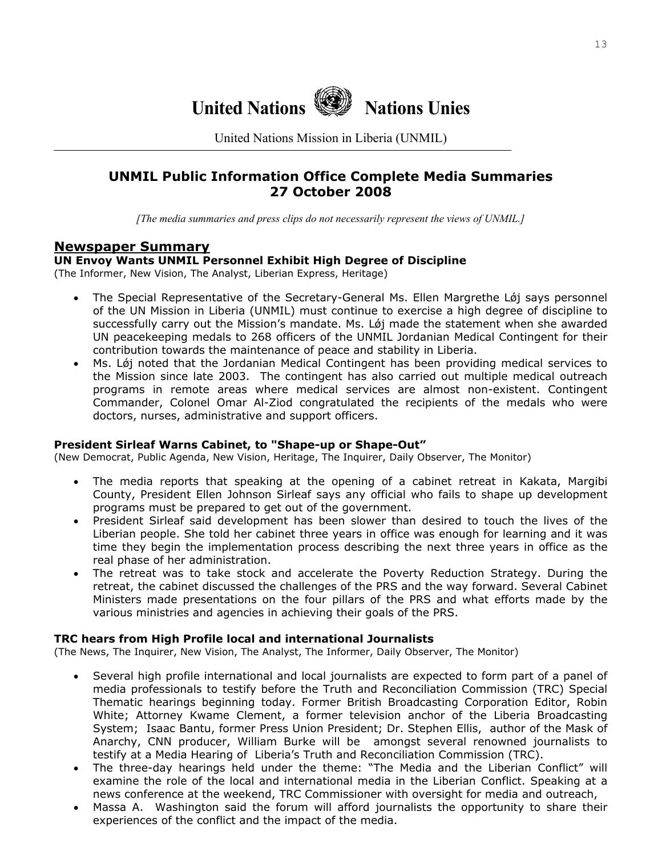

United Nations Mission in Liberia (UNMIL)

## **UNMIL Public Information Office Complete Media Summaries 27 October 2008**

*[The media summaries and press clips do not necessarily represent the views of UNMIL.]*

## **Newspaper Summary**

## **UN Envoy Wants UNMIL Personnel Exhibit High Degree of Discipline**

(The Informer, New Vision, The Analyst, Liberian Express, Heritage)

- The Special Representative of the Secretary-General Ms. Ellen Margrethe Løj says personnel of the UN Mission in Liberia (UNMIL) must continue to exercise a high degree of discipline to successfully carry out the Mission's mandate. Ms. Lǿj made the statement when she awarded UN peacekeeping medals to 268 officers of the UNMIL Jordanian Medical Contingent for their contribution towards the maintenance of peace and stability in Liberia.
- Ms. Lǿj noted that the Jordanian Medical Contingent has been providing medical services to the Mission since late 2003. The contingent has also carried out multiple medical outreach programs in remote areas where medical services are almost non-existent. Contingent Commander, Colonel Omar Al-Ziod congratulated the recipients of the medals who were doctors, nurses, administrative and support officers.

#### **President Sirleaf Warns Cabinet, to "Shape-up or Shape-Out"**

(New Democrat, Public Agenda, New Vision, Heritage, The Inquirer, Daily Observer, The Monitor)

- The media reports that speaking at the opening of a cabinet retreat in Kakata, Margibi County, President Ellen Johnson Sirleaf says any official who fails to shape up development programs must be prepared to get out of the government.
- President Sirleaf said development has been slower than desired to touch the lives of the Liberian people. She told her cabinet three years in office was enough for learning and it was time they begin the implementation process describing the next three years in office as the real phase of her administration.
- The retreat was to take stock and accelerate the Poverty Reduction Strategy. During the retreat, the cabinet discussed the challenges of the PRS and the way forward. Several Cabinet Ministers made presentations on the four pillars of the PRS and what efforts made by the various ministries and agencies in achieving their goals of the PRS.

#### **TRC hears from High Profile local and international Journalists**

(The News, The Inquirer, New Vision, The Analyst, The Informer, Daily Observer, The Monitor)

- Several high profile international and local journalists are expected to form part of a panel of media professionals to testify before the Truth and Reconciliation Commission (TRC) Special Thematic hearings beginning today. Former British Broadcasting Corporation Editor, Robin White; Attorney Kwame Clement, a former television anchor of the Liberia Broadcasting System; Isaac Bantu, former Press Union President; Dr. Stephen Ellis, author of the Mask of Anarchy, CNN producer, William Burke will be amongst several renowned journalists to testify at a Media Hearing of Liberia's Truth and Reconciliation Commission (TRC).
- The three-day hearings held under the theme: "The Media and the Liberian Conflict" will examine the role of the local and international media in the Liberian Conflict. Speaking at a news conference at the weekend, TRC Commissioner with oversight for media and outreach,
- Massa A. Washington said the forum will afford journalists the opportunity to share their experiences of the conflict and the impact of the media.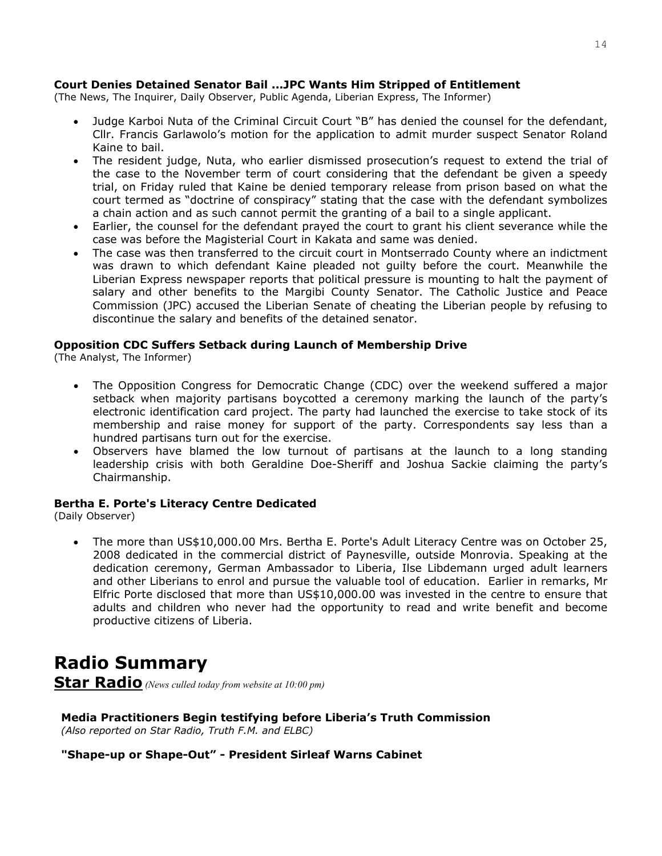### **Court Denies Detained Senator Bail ...JPC Wants Him Stripped of Entitlement**

(The News, The Inquirer, Daily Observer, Public Agenda, Liberian Express, The Informer)

- Judge Karboi Nuta of the Criminal Circuit Court "B" has denied the counsel for the defendant, Cllr. Francis Garlawolo's motion for the application to admit murder suspect Senator Roland Kaine to bail.
- The resident judge, Nuta, who earlier dismissed prosecution's request to extend the trial of the case to the November term of court considering that the defendant be given a speedy trial, on Friday ruled that Kaine be denied temporary release from prison based on what the court termed as "doctrine of conspiracy" stating that the case with the defendant symbolizes a chain action and as such cannot permit the granting of a bail to a single applicant.
- Earlier, the counsel for the defendant prayed the court to grant his client severance while the case was before the Magisterial Court in Kakata and same was denied.
- The case was then transferred to the circuit court in Montserrado County where an indictment was drawn to which defendant Kaine pleaded not guilty before the court. Meanwhile the Liberian Express newspaper reports that political pressure is mounting to halt the payment of salary and other benefits to the Margibi County Senator. The Catholic Justice and Peace Commission (JPC) accused the Liberian Senate of cheating the Liberian people by refusing to discontinue the salary and benefits of the detained senator.

#### **Opposition CDC Suffers Setback during Launch of Membership Drive**

(The Analyst, The Informer)

- The Opposition Congress for Democratic Change (CDC) over the weekend suffered a major setback when majority partisans boycotted a ceremony marking the launch of the party's electronic identification card project. The party had launched the exercise to take stock of its membership and raise money for support of the party. Correspondents say less than a hundred partisans turn out for the exercise.
- Observers have blamed the low turnout of partisans at the launch to a long standing leadership crisis with both Geraldine Doe-Sheriff and Joshua Sackie claiming the party's Chairmanship.

#### **Bertha E. Porte's Literacy Centre Dedicated**

(Daily Observer)

• The more than US\$10,000.00 Mrs. Bertha E. Porte's Adult Literacy Centre was on October 25, 2008 dedicated in the commercial district of Paynesville, outside Monrovia. Speaking at the dedication ceremony, German Ambassador to Liberia, Ilse Libdemann urged adult learners and other Liberians to enrol and pursue the valuable tool of education. Earlier in remarks, Mr Elfric Porte disclosed that more than US\$10,000.00 was invested in the centre to ensure that adults and children who never had the opportunity to read and write benefit and become productive citizens of Liberia.

**Radio Summary Star Radio** *(News culled today from website at 10:00 pm)* 

**Media Practitioners Begin testifying before Liberia's Truth Commission**  *(Also reported on Star Radio, Truth F.M. and ELBC)* 

**"Shape-up or Shape-Out" - President Sirleaf Warns Cabinet**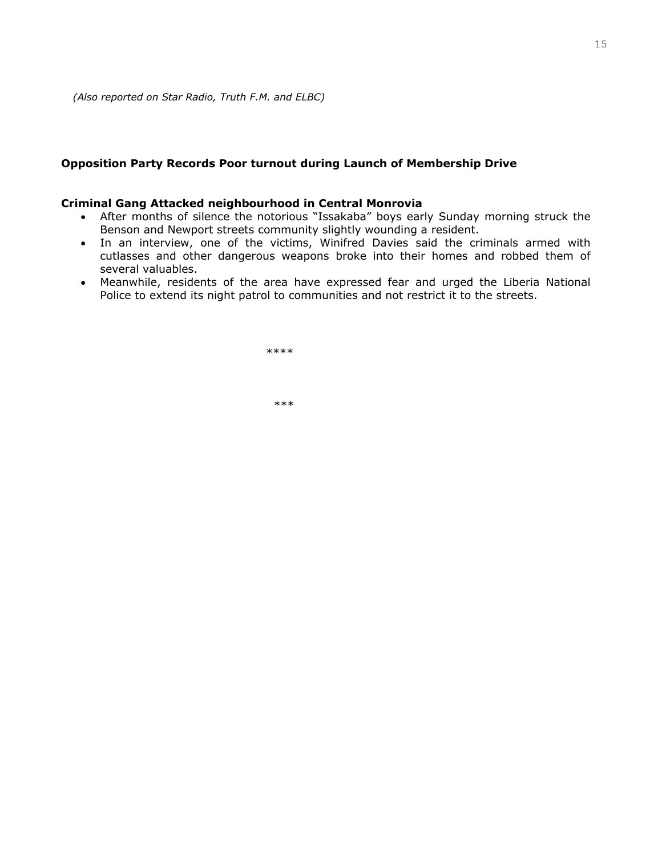#### **Opposition Party Records Poor turnout during Launch of Membership Drive**

#### **Criminal Gang Attacked neighbourhood in Central Monrovia**

- After months of silence the notorious "Issakaba" boys early Sunday morning struck the Benson and Newport streets community slightly wounding a resident.
- In an interview, one of the victims, Winifred Davies said the criminals armed with cutlasses and other dangerous weapons broke into their homes and robbed them of several valuables.
- Meanwhile, residents of the area have expressed fear and urged the Liberia National Police to extend its night patrol to communities and not restrict it to the streets.

\*\*\*\*\*

\*\*\*\*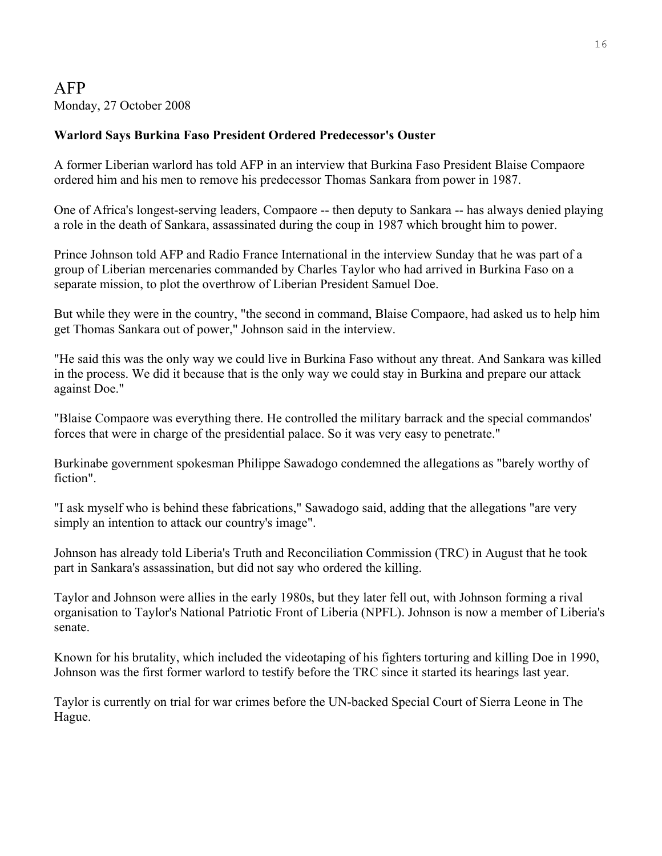## AFP Monday, 27 October 2008

## **Warlord Says Burkina Faso President Ordered Predecessor's Ouster**

A former Liberian warlord has told AFP in an interview that Burkina Faso President Blaise Compaore ordered him and his men to remove his predecessor Thomas Sankara from power in 1987.

One of Africa's longest-serving leaders, Compaore -- then deputy to Sankara -- has always denied playing a role in the death of Sankara, assassinated during the coup in 1987 which brought him to power.

Prince Johnson told AFP and Radio France International in the interview Sunday that he was part of a group of Liberian mercenaries commanded by Charles Taylor who had arrived in Burkina Faso on a separate mission, to plot the overthrow of Liberian President Samuel Doe.

But while they were in the country, "the second in command, Blaise Compaore, had asked us to help him get Thomas Sankara out of power," Johnson said in the interview.

"He said this was the only way we could live in Burkina Faso without any threat. And Sankara was killed in the process. We did it because that is the only way we could stay in Burkina and prepare our attack against Doe."

"Blaise Compaore was everything there. He controlled the military barrack and the special commandos' forces that were in charge of the presidential palace. So it was very easy to penetrate."

Burkinabe government spokesman Philippe Sawadogo condemned the allegations as "barely worthy of fiction".

"I ask myself who is behind these fabrications," Sawadogo said, adding that the allegations "are very simply an intention to attack our country's image".

Johnson has already told Liberia's Truth and Reconciliation Commission (TRC) in August that he took part in Sankara's assassination, but did not say who ordered the killing.

Taylor and Johnson were allies in the early 1980s, but they later fell out, with Johnson forming a rival organisation to Taylor's National Patriotic Front of Liberia (NPFL). Johnson is now a member of Liberia's senate.

Known for his brutality, which included the videotaping of his fighters torturing and killing Doe in 1990, Johnson was the first former warlord to testify before the TRC since it started its hearings last year.

Taylor is currently on trial for war crimes before the UN-backed Special Court of Sierra Leone in The Hague.